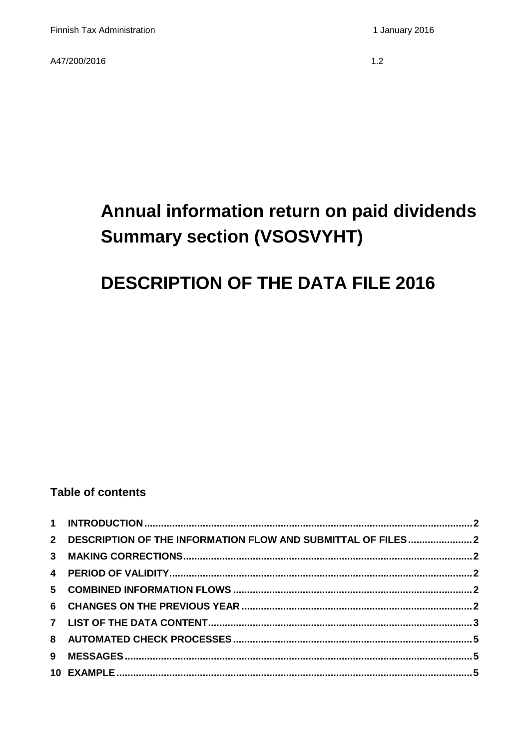A47/200/2016

 $1.2$ 

# Annual information return on paid dividends **Summary section (VSOSVYHT)**

## **DESCRIPTION OF THE DATA FILE 2016**

#### **Table of contents**

| 2 DESCRIPTION OF THE INFORMATION FLOW AND SUBMITTAL OF FILES2 |  |
|---------------------------------------------------------------|--|
|                                                               |  |
|                                                               |  |
|                                                               |  |
|                                                               |  |
|                                                               |  |
|                                                               |  |
|                                                               |  |
|                                                               |  |
|                                                               |  |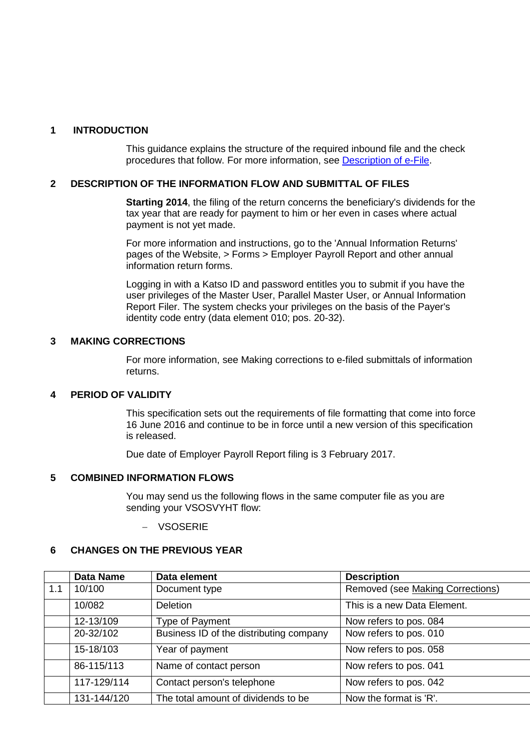#### <span id="page-1-0"></span>**1 INTRODUCTION**

<span id="page-1-1"></span>This guidance explains the structure of the required inbound file and the check procedures that follow. For more information, see [Description of e-File.](http://www.vero.fi/download/Sahkoisen_ilmoittamisen_yleiskuvaus_ENGL20/%7B956D482C-4A28-48D2-BE25-00112D97AE00%7D/12064)

#### **2 DESCRIPTION OF THE INFORMATION FLOW AND SUBMITTAL OF FILES**

**Starting 2014**, the filing of the return concerns the beneficiary's dividends for the tax year that are ready for payment to him or her even in cases where actual payment is not yet made.

For more information and instructions, go to the 'Annual Information Returns' pages of the Website, > Forms > Employer Payroll Report and other annual information return forms.

Logging in with a Katso ID and password entitles you to submit if you have the user privileges of the Master User, Parallel Master User, or Annual Information Report Filer. The system checks your privileges on the basis of the Payer's identity code entry (data element 010; pos. 20-32).

#### <span id="page-1-2"></span>**3 MAKING CORRECTIONS**

For more information, see Making corrections to e-filed submittals of information returns.

#### <span id="page-1-3"></span>**4 PERIOD OF VALIDITY**

This specification sets out the requirements of file formatting that come into force 16 June 2016 and continue to be in force until a new version of this specification is released.

Due date of Employer Payroll Report filing is 3 February 2017.

#### <span id="page-1-4"></span>**5 COMBINED INFORMATION FLOWS**

You may send us the following flows in the same computer file as you are sending your VSOSVYHT flow:

− VSOSERIE

#### <span id="page-1-5"></span>**6 CHANGES ON THE PREVIOUS YEAR**

|     | <b>Data Name</b> | Data element                            | <b>Description</b>               |
|-----|------------------|-----------------------------------------|----------------------------------|
| 1.1 | 10/100           | Document type                           | Removed (see Making Corrections) |
|     | 10/082           | <b>Deletion</b>                         | This is a new Data Element.      |
|     | 12-13/109        | Type of Payment                         | Now refers to pos. 084           |
|     | 20-32/102        | Business ID of the distributing company | Now refers to pos. 010           |
|     | 15-18/103        | Year of payment                         | Now refers to pos. 058           |
|     | 86-115/113       | Name of contact person                  | Now refers to pos. 041           |
|     | 117-129/114      | Contact person's telephone              | Now refers to pos. 042           |
|     | 131-144/120      | The total amount of dividends to be     | Now the format is 'R'.           |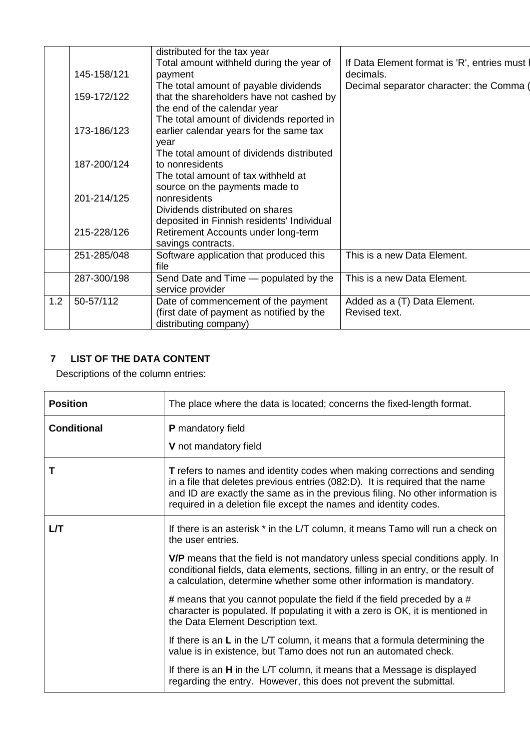|     |             | distributed for the tax year<br>Total amount withheld during the year of | If Data Element format is 'R', entries must I |
|-----|-------------|--------------------------------------------------------------------------|-----------------------------------------------|
|     | 145-158/121 | payment                                                                  | decimals.                                     |
|     |             | The total amount of payable dividends                                    | Decimal separator character: the Comma (      |
|     | 159-172/122 | that the shareholders have not cashed by                                 |                                               |
|     |             | the end of the calendar year                                             |                                               |
|     |             | The total amount of dividends reported in                                |                                               |
|     | 173-186/123 | earlier calendar years for the same tax                                  |                                               |
|     |             | year                                                                     |                                               |
|     | 187-200/124 | The total amount of dividends distributed<br>to nonresidents             |                                               |
|     |             | The total amount of tax withheld at                                      |                                               |
|     |             | source on the payments made to                                           |                                               |
|     | 201-214/125 | nonresidents                                                             |                                               |
|     |             | Dividends distributed on shares                                          |                                               |
|     |             | deposited in Finnish residents' Individual                               |                                               |
|     | 215-228/126 | Retirement Accounts under long-term                                      |                                               |
|     |             | savings contracts.                                                       |                                               |
|     | 251-285/048 | Software application that produced this                                  | This is a new Data Element.                   |
|     |             | file                                                                     |                                               |
|     | 287-300/198 | Send Date and Time - populated by the<br>service provider                | This is a new Data Element.                   |
| 1.2 | 50-57/112   | Date of commencement of the payment                                      | Added as a (T) Data Element.                  |
|     |             | (first date of payment as notified by the                                | Revised text.                                 |
|     |             | distributing company)                                                    |                                               |
|     |             |                                                                          |                                               |

## <span id="page-2-0"></span>**7 LIST OF THE DATA CONTENT**

Descriptions of the column entries:

| <b>Position</b>    | The place where the data is located; concerns the fixed-length format.                                                                                                                                                                                                                                                 |
|--------------------|------------------------------------------------------------------------------------------------------------------------------------------------------------------------------------------------------------------------------------------------------------------------------------------------------------------------|
| <b>Conditional</b> | <b>P</b> mandatory field<br>V not mandatory field                                                                                                                                                                                                                                                                      |
| т                  | <b>T</b> refers to names and identity codes when making corrections and sending<br>in a file that deletes previous entries (082:D). It is required that the name<br>and ID are exactly the same as in the previous filing. No other information is<br>required in a deletion file except the names and identity codes. |
| LЛ                 | If there is an asterisk * in the L/T column, it means Tamo will run a check on<br>the user entries.                                                                                                                                                                                                                    |
|                    | <b>V/P</b> means that the field is not mandatory unless special conditions apply. In<br>conditional fields, data elements, sections, filling in an entry, or the result of<br>a calculation, determine whether some other information is mandatory.                                                                    |
|                    | # means that you cannot populate the field if the field preceded by a #<br>character is populated. If populating it with a zero is OK, it is mentioned in<br>the Data Element Description text.                                                                                                                        |
|                    | If there is an $L$ in the $LT$ column, it means that a formula determining the<br>value is in existence, but Tamo does not run an automated check.                                                                                                                                                                     |
|                    | If there is an $H$ in the L/T column, it means that a Message is displayed<br>regarding the entry. However, this does not prevent the submittal.                                                                                                                                                                       |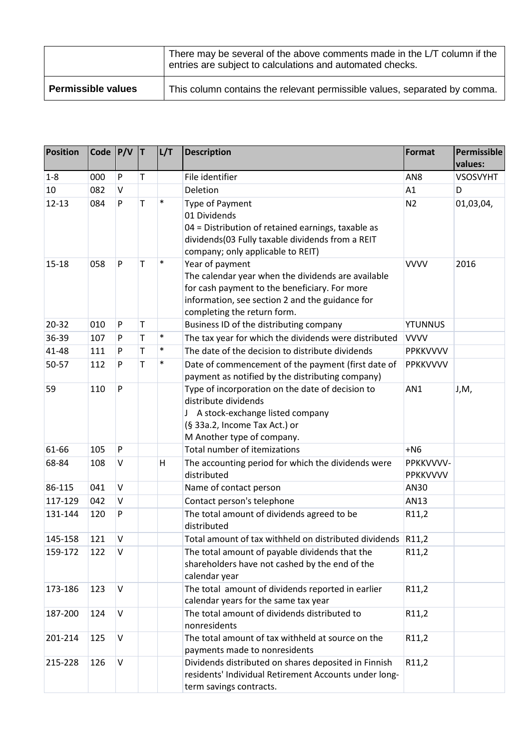|                           | There may be several of the above comments made in the L/T column if the<br>entries are subject to calculations and automated checks. |
|---------------------------|---------------------------------------------------------------------------------------------------------------------------------------|
| <b>Permissible values</b> | This column contains the relevant permissible values, separated by comma.                                                             |

| <b>Position</b> | Code $P/V$ |           | IТ.     | L/T    | <b>Description</b>                                                                                                                                                                                       | <b>Format</b>         | Permissible<br>values: |
|-----------------|------------|-----------|---------|--------|----------------------------------------------------------------------------------------------------------------------------------------------------------------------------------------------------------|-----------------------|------------------------|
| $1-8$           | 000        | ${\sf P}$ | $\sf T$ |        | File identifier                                                                                                                                                                                          | AN <sub>8</sub>       | <b>VSOSVYHT</b>        |
| 10              | 082        | V         |         |        | Deletion                                                                                                                                                                                                 | A1                    | D                      |
| $12 - 13$       | 084        | ${\sf P}$ | T       | $\ast$ | Type of Payment<br>01 Dividends<br>04 = Distribution of retained earnings, taxable as<br>dividends(03 Fully taxable dividends from a REIT<br>company; only applicable to REIT)                           | N <sub>2</sub>        | 01,03,04,              |
| 15-18           | 058        | ${\sf P}$ | T       | $\ast$ | Year of payment<br>The calendar year when the dividends are available<br>for cash payment to the beneficiary. For more<br>information, see section 2 and the guidance for<br>completing the return form. | <b>VVVV</b>           | 2016                   |
| 20-32           | 010        | P         | $\sf T$ |        | Business ID of the distributing company                                                                                                                                                                  | <b>YTUNNUS</b>        |                        |
| 36-39           | 107        | P         | T       | $\ast$ | The tax year for which the dividends were distributed                                                                                                                                                    | <b>VVVV</b>           |                        |
| 41-48           | 111        | P         | T       | $\ast$ | The date of the decision to distribute dividends                                                                                                                                                         | <b>PPKKVVVV</b>       |                        |
| 50-57           | 112        | P         | T       | $\ast$ | Date of commencement of the payment (first date of<br>payment as notified by the distributing company)                                                                                                   | <b>PPKKVVVV</b>       |                        |
| 59              | 110        | ${\sf P}$ |         |        | Type of incorporation on the date of decision to<br>distribute dividends<br>J A stock-exchange listed company<br>(§ 33a.2, Income Tax Act.) or<br>M Another type of company.                             | AN1                   | J,M,                   |
| 61-66           | 105        | ${\sf P}$ |         |        | Total number of itemizations                                                                                                                                                                             | $+N6$                 |                        |
| 68-84           | 108        | V         |         | H      | The accounting period for which the dividends were<br>distributed                                                                                                                                        | PPKKVVVV-<br>PPKKVVVV |                        |
| 86-115          | 041        | $\sf V$   |         |        | Name of contact person                                                                                                                                                                                   | AN30                  |                        |
| 117-129         | 042        | V         |         |        | Contact person's telephone                                                                                                                                                                               | AN13                  |                        |
| 131-144         | 120        | P         |         |        | The total amount of dividends agreed to be<br>distributed                                                                                                                                                | R11,2                 |                        |
| 145-158         | 121        | $\vee$    |         |        | Total amount of tax withheld on distributed dividends R11,2                                                                                                                                              |                       |                        |
| 159-172         | 122        | V         |         |        | The total amount of payable dividends that the<br>shareholders have not cashed by the end of the<br>calendar year                                                                                        | R11,2                 |                        |
| 173-186         | 123        | $\vee$    |         |        | The total amount of dividends reported in earlier<br>calendar years for the same tax year                                                                                                                | R11,2                 |                        |
| 187-200         | 124        | V         |         |        | The total amount of dividends distributed to<br>nonresidents                                                                                                                                             | R11,2                 |                        |
| 201-214         | 125        | $\vee$    |         |        | The total amount of tax withheld at source on the<br>payments made to nonresidents                                                                                                                       | R11,2                 |                        |
| 215-228         | 126        | $\vee$    |         |        | Dividends distributed on shares deposited in Finnish<br>residents' Individual Retirement Accounts under long-<br>term savings contracts.                                                                 | R11,2                 |                        |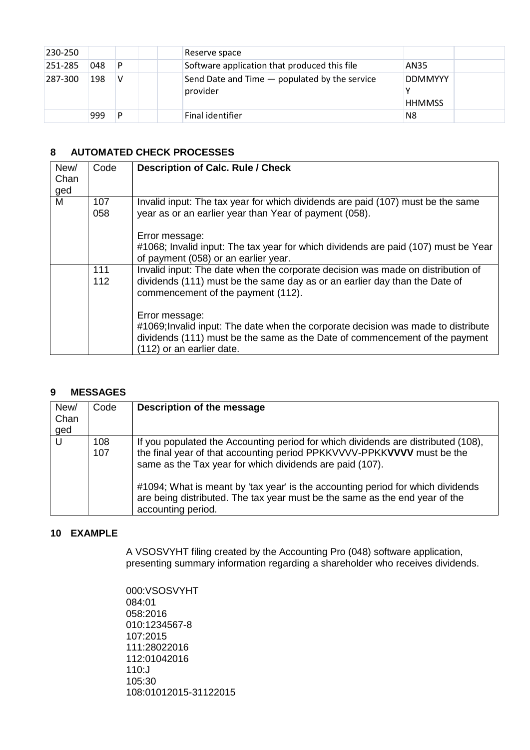| 230-250 |     |   | Reserve space                                             |                                 |  |
|---------|-----|---|-----------------------------------------------------------|---------------------------------|--|
| 251-285 | 048 | P | Software application that produced this file              | AN35                            |  |
| 287-300 | 198 | V | Send Date and Time – populated by the service<br>provider | <b>DDMMYYY</b><br><b>HHMMSS</b> |  |
|         | 999 | D | Final identifier                                          | N8                              |  |

### <span id="page-4-0"></span>**8 AUTOMATED CHECK PROCESSES**

| New/<br>Chan | Code | <b>Description of Calc. Rule / Check</b>                                                                                                                                                      |
|--------------|------|-----------------------------------------------------------------------------------------------------------------------------------------------------------------------------------------------|
| ged          |      |                                                                                                                                                                                               |
| M            | 107  | Invalid input: The tax year for which dividends are paid (107) must be the same                                                                                                               |
|              | 058  | year as or an earlier year than Year of payment (058).                                                                                                                                        |
|              |      | Error message:                                                                                                                                                                                |
|              |      | #1068; Invalid input: The tax year for which dividends are paid (107) must be Year                                                                                                            |
|              |      | of payment (058) or an earlier year.                                                                                                                                                          |
|              | 111  | Invalid input: The date when the corporate decision was made on distribution of                                                                                                               |
|              | 112  | dividends (111) must be the same day as or an earlier day than the Date of<br>commencement of the payment (112).                                                                              |
|              |      | Error message:                                                                                                                                                                                |
|              |      | #1069; Invalid input: The date when the corporate decision was made to distribute<br>dividends (111) must be the same as the Date of commencement of the payment<br>(112) or an earlier date. |
|              |      |                                                                                                                                                                                               |

#### <span id="page-4-1"></span>**9 MESSAGES**

| New/<br>Chan<br>ged | Code       | Description of the message                                                                                                                                                                                                                                                                                                                                                                                      |
|---------------------|------------|-----------------------------------------------------------------------------------------------------------------------------------------------------------------------------------------------------------------------------------------------------------------------------------------------------------------------------------------------------------------------------------------------------------------|
| U                   | 108<br>107 | If you populated the Accounting period for which dividends are distributed (108),<br>the final year of that accounting period PPKKVVVV-PPKKVVVV must be the<br>same as the Tax year for which dividends are paid (107).<br>#1094; What is meant by 'tax year' is the accounting period for which dividends<br>are being distributed. The tax year must be the same as the end year of the<br>accounting period. |

#### <span id="page-4-2"></span>**10 EXAMPLE**

A VSOSVYHT filing created by the Accounting Pro (048) software application, presenting summary information regarding a shareholder who receives dividends.

000:VSOSVYHT 084:01 058:2016 010:1234567-8 107:2015 111:28022016 112:01042016 110:J 105:30 108:01012015-31122015